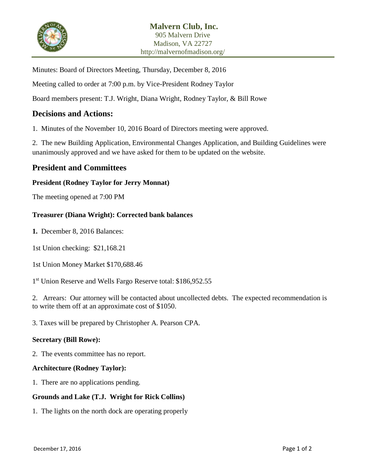

Minutes: Board of Directors Meeting, Thursday, December 8, 2016

Meeting called to order at 7:00 p.m. by Vice-President Rodney Taylor

Board members present: T.J. Wright, Diana Wright, Rodney Taylor, & Bill Rowe

# **Decisions and Actions:**

1. Minutes of the November 10, 2016 Board of Directors meeting were approved.

2. The new Building Application, Environmental Changes Application, and Building Guidelines were unanimously approved and we have asked for them to be updated on the website.

## **President and Committees**

#### **President (Rodney Taylor for Jerry Monnat)**

The meeting opened at 7:00 PM

#### **Treasurer (Diana Wright): Corrected bank balances**

**1.** December 8, 2016 Balances:

1st Union checking: \$21,168.21

1st Union Money Market \$170,688.46

1<sup>st</sup> Union Reserve and Wells Fargo Reserve total: \$186,952.55

2. Arrears: Our attorney will be contacted about uncollected debts. The expected recommendation is to write them off at an approximate cost of \$1050.

3. Taxes will be prepared by Christopher A. Pearson CPA.

#### **Secretary (Bill Rowe):**

2. The events committee has no report.

#### **Architecture (Rodney Taylor):**

1. There are no applications pending.

#### **Grounds and Lake (T.J. Wright for Rick Collins)**

1. The lights on the north dock are operating properly